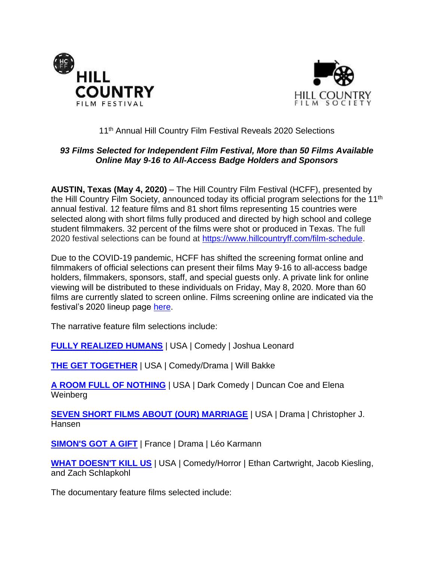



# 11<sup>th</sup> Annual Hill Country Film Festival Reveals 2020 Selections

# *93 Films Selected for Independent Film Festival, More than 50 Films Available Online May 9-16 to All-Access Badge Holders and Sponsors*

**AUSTIN, Texas (May 4, 2020)** – The Hill Country Film Festival (HCFF), presented by the Hill Country Film Society, announced today its official program selections for the 11<sup>th</sup> annual festival. 12 feature films and 81 short films representing 15 countries were selected along with short films fully produced and directed by high school and college student filmmakers. 32 percent of the films were shot or produced in Texas. The full 2020 festival selections can be found at [https://www.hillcountryff.com/film-schedule.](https://www.hillcountryff.com/film-schedule)

Due to the COVID-19 pandemic, HCFF has shifted the screening format online and filmmakers of official selections can present their films May 9-16 to all-access badge holders, filmmakers, sponsors, staff, and special guests only. A private link for online viewing will be distributed to these individuals on Friday, May 8, 2020. More than 60 films are currently slated to screen online. Films screening online are indicated via the festival's 2020 lineup page [here.](https://www.hillcountryff.com/film-schedule)

The narrative feature film selections include:

**[FULLY REALIZED HUMANS](https://www.imdb.com/title/tt10579768/?ref_=fn_al_tt_1)** | USA | Comedy | Joshua Leonard

**[THE GET TOGETHER](https://www.imdb.com/title/tt10942302/?ref_=nv_sr_srsg_0)** | USA | Comedy/Drama | Will Bakke

**[A ROOM FULL OF NOTHING](https://www.imdb.com/title/tt8906652/?ref_=fn_al_tt_1)** | USA | Dark Comedy | Duncan Coe and Elena Weinberg

**[SEVEN SHORT FILMS ABOUT \(OUR\) MARRIAGE](https://www.imdb.com/title/tt8119078/?ref_=fn_al_tt_1)** | USA | Drama | Christopher J. Hansen

**[SIMON'S GOT A GIFT](https://www.imdb.com/title/tt6487174/?ref_=fn_al_tt_1)** | France | Drama | Léo Karmann

**[WHAT DOESN'T KILL US](https://www.imdb.com/title/tt7467702/?ref_=fn_al_nm_1a)** | USA | Comedy/Horror | Ethan Cartwright, Jacob Kiesling, and Zach Schlapkohl

The documentary feature films selected include: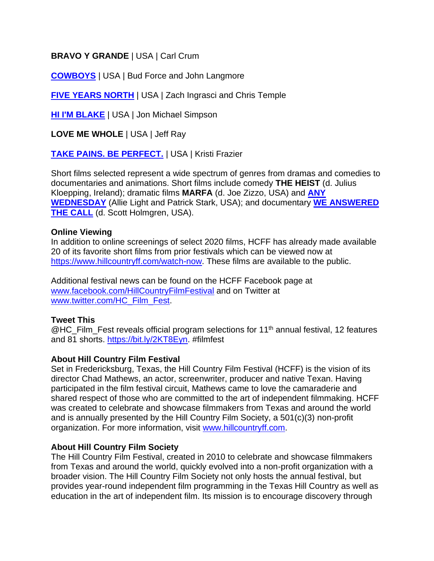# **BRAVO Y GRANDE** | USA | Carl Crum

**[COWBOYS](https://www.imdb.com/title/tt7132906/?ref_=fn_al_nm_1a)** | USA | Bud Force and John Langmore

**[FIVE YEARS NORTH](https://www.imdb.com/title/tt10843712/?ref_=fn_al_tt_1)** | USA | Zach Ingrasci and Chris Temple

**[HI I'M BLAKE](https://www.imdb.com/title/tt12002574/?ref_=fn_al_tt_1)** | USA | Jon Michael Simpson

**LOVE ME WHOLE** | USA | Jeff Ray

**[TAKE PAINS. BE PERFECT.](https://www.imdb.com/title/tt9896102/?ref_=fn_al_tt_1)** | USA | Kristi Frazier

Short films selected represent a wide spectrum of genres from dramas and comedies to documentaries and animations. Short films include comedy **THE HEIST** (d. Julius Kloepping, Ireland); dramatic films **MARFA** (d. Joe Zizzo, USA) and **[ANY](https://www.imdb.com/title/tt7239868/?ref_=fn_al_tt_2)  [WEDNESDAY](https://www.imdb.com/title/tt7239868/?ref_=fn_al_tt_2)** (Allie Light and Patrick Stark, USA); and documentary **[WE ANSWERED](https://www.imdb.com/title/tt5321670/?ref_=fn_al_tt_1)  [THE CALL](https://www.imdb.com/title/tt5321670/?ref_=fn_al_tt_1)** (d. Scott Holmgren, USA).

#### **Online Viewing**

In addition to online screenings of select 2020 films, HCFF has already made available 20 of its favorite short films from prior festivals which can be viewed now at [https://www.hillcountryff.com/watch-now.](https://www.hillcountryff.com/watch-now) These films are available to the public.

Additional festival news can be found on the HCFF Facebook page at [www.facebook.com/HillCountryFilmFestival](http://www.facebook.com/HillCountryFilmFestival) and on Twitter at [www.twitter.com/HC\\_Film\\_Fest.](http://www.twitter.com/HC_Film_Fest)

## **Tweet This**

@HC\_Film\_Fest reveals official program selections for 11<sup>th</sup> annual festival, 12 features and 81 shorts. [https://bit.ly/2KT8Eyn.](https://bit.ly/2KT8Eyn) #filmfest

## **About Hill Country Film Festival**

Set in Fredericksburg, Texas, the Hill Country Film Festival (HCFF) is the vision of its director Chad Mathews, an actor, screenwriter, producer and native Texan. Having participated in the film festival circuit, Mathews came to love the camaraderie and shared respect of those who are committed to the art of independent filmmaking. HCFF was created to celebrate and showcase filmmakers from Texas and around the world and is annually presented by the Hill Country Film Society, a 501(c)(3) non-profit organization. For more information, visit [www.hillcountryff.com.](http://www.hillcountryff.com/)

## **About Hill Country Film Society**

The Hill Country Film Festival, created in 2010 to celebrate and showcase filmmakers from Texas and around the world, quickly evolved into a non-profit organization with a broader vision. The Hill Country Film Society not only hosts the annual festival, but provides year-round independent film programming in the Texas Hill Country as well as education in the art of independent film. Its mission is to encourage discovery through